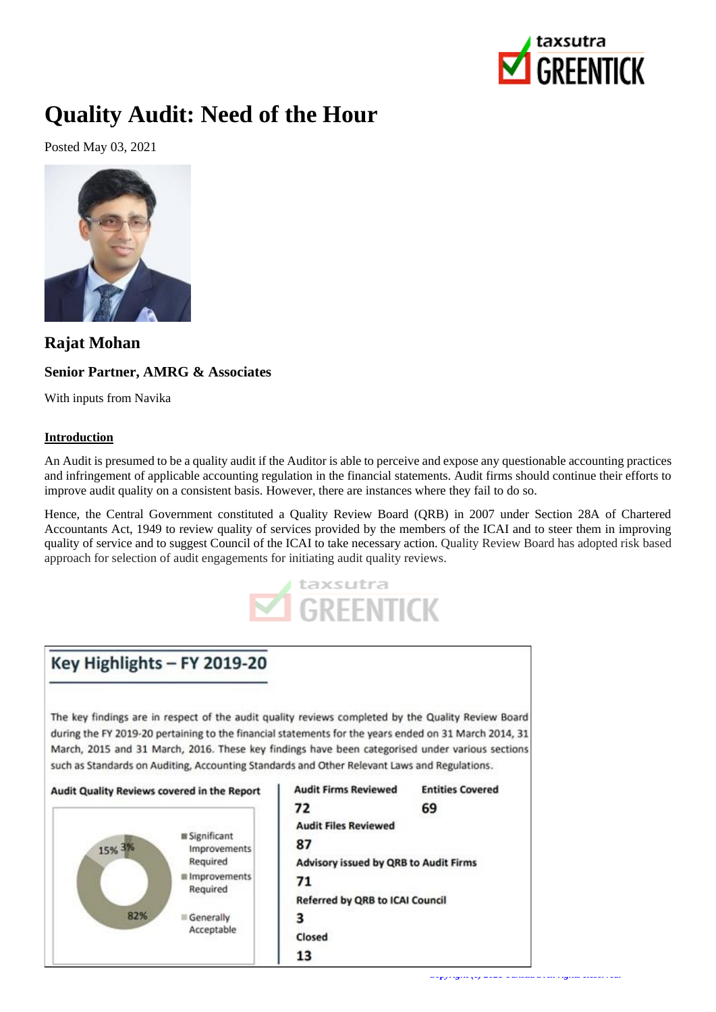

# **Quality Audit: Need of the Hour**

Posted May 03, 2021



# **Rajat Mohan**

## **Senior Partner, AMRG & Associates**

With inputs from Navika

### **Introduction**

An Audit is presumed to be a quality audit if the Auditor is able to perceive and expose any questionable accounting practices and infringement of applicable accounting regulation in the financial statements. Audit firms should continue their efforts to improve audit quality on a consistent basis. However, there are instances where they fail to do so.

Hence, the Central Government constituted a Quality Review Board (QRB) in 2007 under Section 28A of Chartered Accountants Act, 1949 to review quality of services provided by the members of the ICAI and to steer them in improving quality of service and to suggest Council of the ICAI to take necessary action. Quality Review Board has adopted risk based approach for selection of audit engagements for initiating audit quality reviews.



# Key Highlights - FY 2019-20

The key findings are in respect of the audit quality reviews completed by the Quality Review Board during the FY 2019-20 pertaining to the financial statements for the years ended on 31 March 2014, 31 March, 2015 and 31 March, 2016. These key findings have been categorised under various sections such as Standards on Auditing, Accounting Standards and Other Relevant Laws and Regulations.

#### Audit Quality Reviews covered in the Report



| <b>Audit Firms Reviewed</b>                  | <b>Entities Covered</b> |
|----------------------------------------------|-------------------------|
| 72                                           | 69                      |
| <b>Audit Files Reviewed</b>                  |                         |
| 87                                           |                         |
| <b>Advisory issued by QRB to Audit Firms</b> |                         |
| 71                                           |                         |
| <b>Referred by QRB to ICAI Council</b>       |                         |
| 3                                            |                         |
| Closed                                       |                         |
| 13                                           |                         |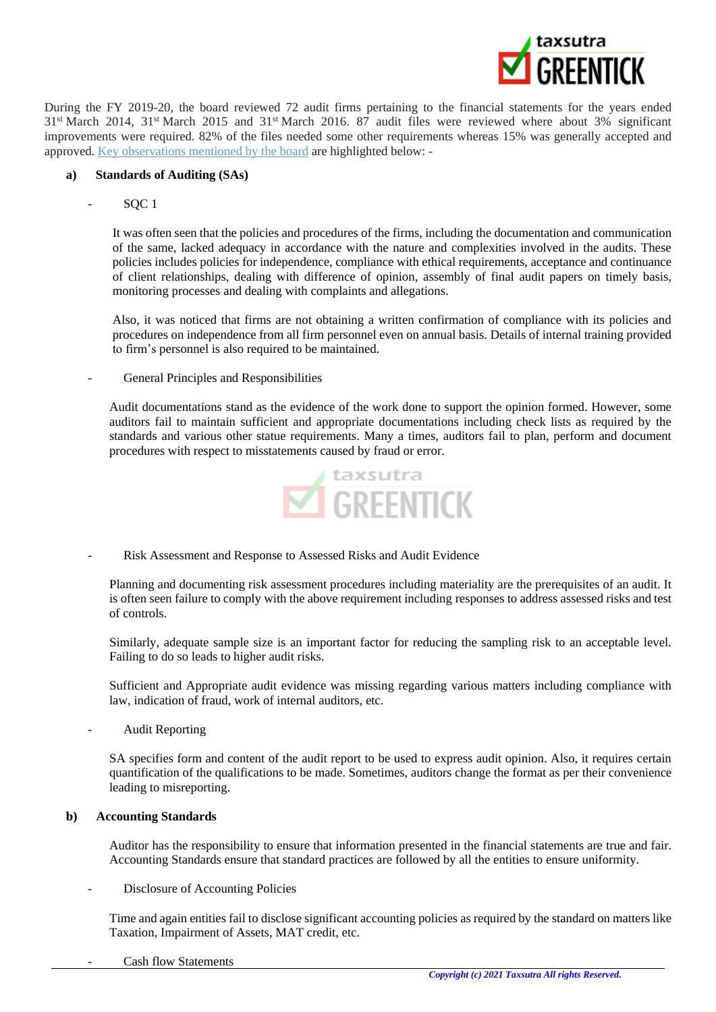

During the FY 2019-20, the board reviewed 72 audit firms pertaining to the financial statements for the years ended 31st March 2014, 31st March 2015 and 31st March 2016. 87 audit files were reviewed where about 3% significant improvements were required. 82% of the files needed some other requirements whereas 15% was generally accepted and approved. [Key observations mentioned by the board](https://greentick.taxsutra.com/news_details/7500901/ICAIs-Quality-Review-Board-submits-2019-20-Report) are highlighted below: -

#### **a) Standards of Auditing (SAs)**

SQC 1

It was often seen that the policies and procedures of the firms, including the documentation and communication of the same, lacked adequacy in accordance with the nature and complexities involved in the audits. These policies includes policies for independence, compliance with ethical requirements, acceptance and continuance of client relationships, dealing with difference of opinion, assembly of final audit papers on timely basis, monitoring processes and dealing with complaints and allegations.

Also, it was noticed that firms are not obtaining a written confirmation of compliance with its policies and procedures on independence from all firm personnel even on annual basis. Details of internal training provided to firm's personnel is also required to be maintained.

- General Principles and Responsibilities

Audit documentations stand as the evidence of the work done to support the opinion formed. However, some auditors fail to maintain sufficient and appropriate documentations including check lists as required by the standards and various other statue requirements. Many a times, auditors fail to plan, perform and document procedures with respect to misstatements caused by fraud or error.



- Risk Assessment and Response to Assessed Risks and Audit Evidence

Planning and documenting risk assessment procedures including materiality are the prerequisites of an audit. It is often seen failure to comply with the above requirement including responses to address assessed risks and test of controls.

Similarly, adequate sample size is an important factor for reducing the sampling risk to an acceptable level. Failing to do so leads to higher audit risks.

Sufficient and Appropriate audit evidence was missing regarding various matters including compliance with law, indication of fraud, work of internal auditors, etc.

Audit Reporting

SA specifies form and content of the audit report to be used to express audit opinion. Also, it requires certain quantification of the qualifications to be made. Sometimes, auditors change the format as per their convenience leading to misreporting.

#### **b) Accounting Standards**

Auditor has the responsibility to ensure that information presented in the financial statements are true and fair. Accounting Standards ensure that standard practices are followed by all the entities to ensure uniformity.

Disclosure of Accounting Policies

Time and again entities fail to disclose significant accounting policies as required by the standard on matters like Taxation, Impairment of Assets, MAT credit, etc.

Cash flow Statements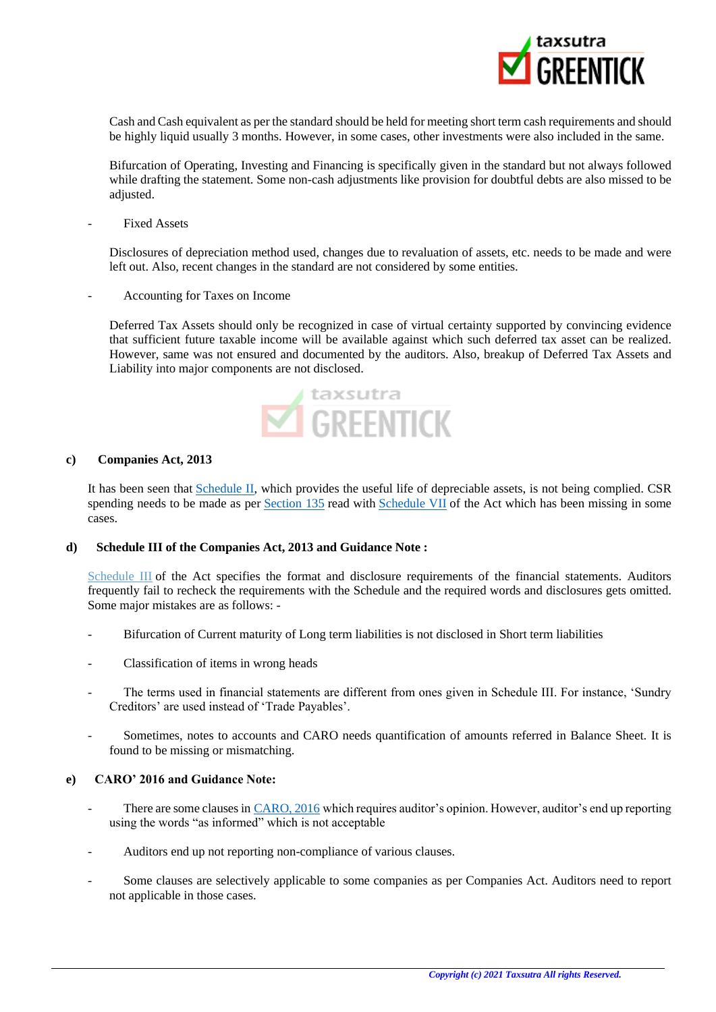

Cash and Cash equivalent as per the standard should be held for meeting short term cash requirements and should be highly liquid usually 3 months. However, in some cases, other investments were also included in the same.

Bifurcation of Operating, Investing and Financing is specifically given in the standard but not always followed while drafting the statement. Some non-cash adjustments like provision for doubtful debts are also missed to be adjusted.

#### Fixed Assets

Disclosures of depreciation method used, changes due to revaluation of assets, etc. needs to be made and were left out. Also, recent changes in the standard are not considered by some entities.

- Accounting for Taxes on Income

Deferred Tax Assets should only be recognized in case of virtual certainty supported by convincing evidence that sufficient future taxable income will be available against which such deferred tax asset can be realized. However, same was not ensured and documented by the auditors. Also, breakup of Deferred Tax Assets and Liability into major components are not disclosed.



#### **c) Companies Act, 2013**

It has been seen that [Schedule II,](https://library.taxsutra.com/dist/library/CA2013/Sch-II-Useful-lives-to-compute-depreciation/20034) which provides the useful life of depreciable assets, is not being complied. CSR spending needs to be made as per [Section 135](https://library.taxsutra.com/dist/library/CA2013/S-135-Corporate-Social-Responsibility/20326) read with [Schedule VII](https://library.taxsutra.com/dist/library/CA2013/Sch-VI-Infrastructure-projects-infratructure-facilities/20039) of the Act which has been missing in some cases.

#### **d) Schedule III of the Companies Act, 2013 and Guidance Note :**

[Schedule III](https://library.taxsutra.com/dist/library/CA2013/Sch-III/20035) of the Act specifies the format and disclosure requirements of the financial statements. Auditors frequently fail to recheck the requirements with the Schedule and the required words and disclosures gets omitted. Some major mistakes are as follows: -

- Bifurcation of Current maturity of Long term liabilities is not disclosed in Short term liabilities
- Classification of items in wrong heads
- The terms used in financial statements are different from ones given in Schedule III. For instance, 'Sundry Creditors' are used instead of 'Trade Payables'.
- Sometimes, notes to accounts and CARO needs quantification of amounts referred in Balance Sheet. It is found to be missing or mismatching.

#### **e) CARO' 2016 and Guidance Note:**

- There are some clauses in [CARO, 2016](https://library.taxsutra.com/dist/library/CA2013/Companies-Auditors-Report-Order-2016/20781) which requires auditor's opinion. However, auditor's end up reporting using the words "as informed" which is not acceptable
- Auditors end up not reporting non-compliance of various clauses.
- Some clauses are selectively applicable to some companies as per Companies Act. Auditors need to report not applicable in those cases.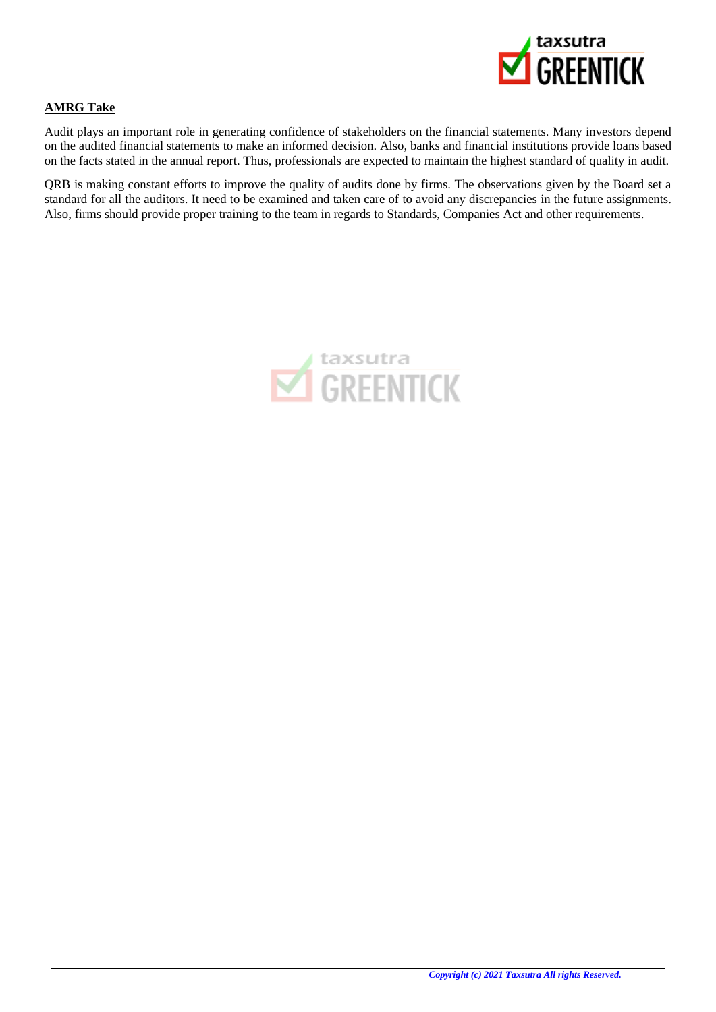

### **AMRG Take**

Audit plays an important role in generating confidence of stakeholders on the financial statements. Many investors depend on the audited financial statements to make an informed decision. Also, banks and financial institutions provide loans based on the facts stated in the annual report. Thus, professionals are expected to maintain the highest standard of quality in audit.

QRB is making constant efforts to improve the quality of audits done by firms. The observations given by the Board set a standard for all the auditors. It need to be examined and taken care of to avoid any discrepancies in the future assignments. Also, firms should provide proper training to the team in regards to Standards, Companies Act and other requirements.

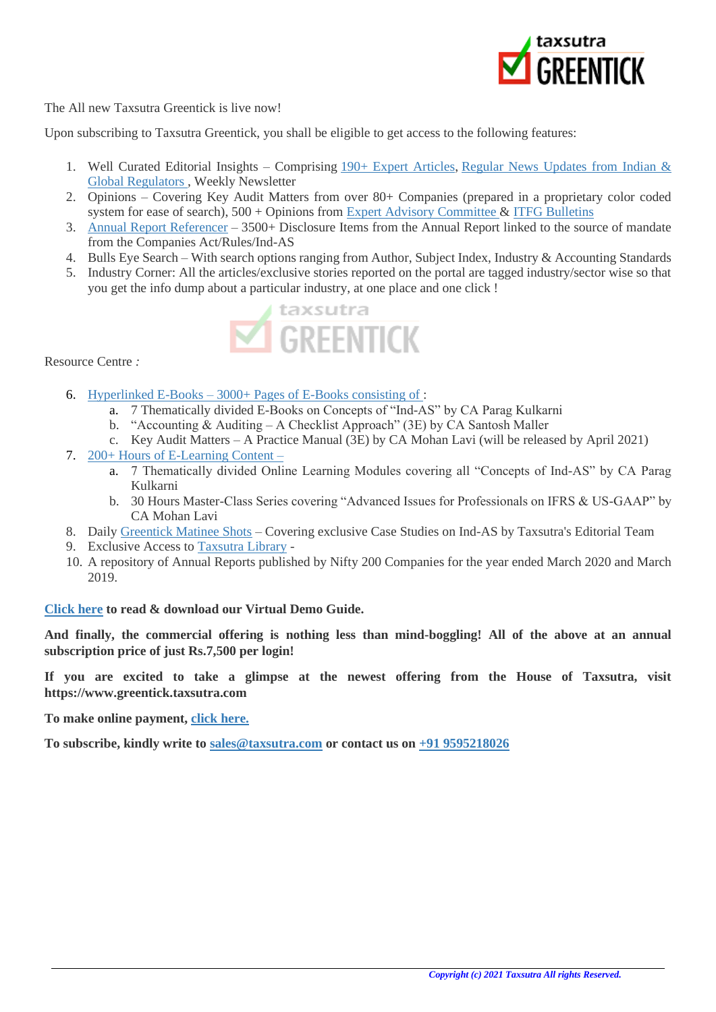

The All new Taxsutra Greentick is live now!

Upon subscribing to Taxsutra Greentick, you shall be eligible to get access to the following features:

- 1. Well Curated Editorial Insights Comprising [190+ Expert Articles,](https://greentick.taxsutra.com/articles) Regular News Updates from Indian & [Global Regulators](https://greentick.taxsutra.com/all-types-news) , Weekly Newsletter
- 2. Opinions Covering Key Audit Matters from over 80+ Companies (prepared in a proprietary color coded system for ease of search), 500 + Opinions from [Expert Advisory Committee](https://greentick.taxsutra.com/eac) & [ITFG Bulletins](https://greentick.taxsutra.com/itfgbulletins)
- 3. [Annual Report Referencer](https://referencer.taxsutra.com/) 3500+ Disclosure Items from the Annual Report linked to the source of mandate from the Companies Act/Rules/Ind-AS
- 4. Bulls Eye Search With search options ranging from Author, Subject Index, Industry & Accounting Standards
- 5. Industry Corner: All the articles/exclusive stories reported on the portal are tagged industry/sector wise so that you get the info dump about a particular industry, at one place and one click !



Resource Centre *:*

- 6. Hyperlinked E-Books [3000+ Pages of E-Books consisting of](https://www.taxsutrareservoir.com/products) :
	- a. 7 Thematically divided E-Books on Concepts of "Ind-AS" by CA Parag Kulkarni
	- b. "Accounting & Auditing A Checklist Approach" (3E) by CA Santosh Maller
	- c. Key Audit Matters A Practice Manual (3E) by CA Mohan Lavi (will be released by April 2021)
- 7. [200+ Hours of E-Learning Content](https://www.taxsutrareservoir.com/Ind-AS)
	- a. 7 Thematically divided Online Learning Modules covering all "Concepts of Ind-AS" by CA Parag Kulkarni
	- b. 30 Hours Master-Class Series covering "Advanced Issues for Professionals on IFRS & US-GAAP" by CA Mohan Lavi
- 8. Daily [Greentick Matinee Shots](https://greentick.taxsutra.com/matineeshots) Covering exclusive Case Studies on Ind-AS by Taxsutra's Editorial Team
- 9. Exclusive Access to [Taxsutra Library](https://library.taxsutra.com/) -
- 10. A repository of Annual Reports published by Nifty 200 Companies for the year ended March 2020 and March 2019.

**[Click here](https://greentick.taxsutra.com/content/Final%20GREENTICK%20WEBSITE%20PPT.pdf) to read & download our Virtual Demo Guide.**

**And finally, the commercial offering is nothing less than mind-boggling! All of the above at an annual subscription price of just Rs.7,500 per login!**

**If you are excited to take a glimpse at the newest offering from the House of Taxsutra, visit https://www.greentick.taxsutra.com**

**To make online payment, [click here.](https://greentick.taxsutra.com/payment)**

**To subscribe, kindly write to [sales@taxsutra.com](mailto:%20sales@taxsutra.com) or contact us on [+91 9595218026](tel:%209595218026)**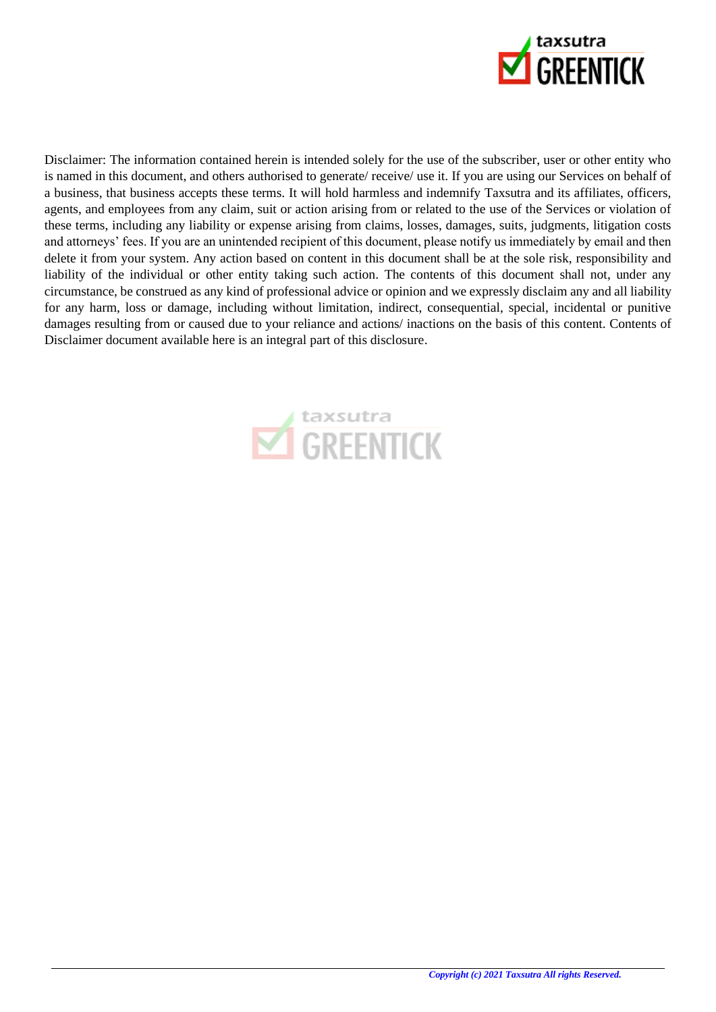

Disclaimer: The information contained herein is intended solely for the use of the subscriber, user or other entity who is named in this document, and others authorised to generate/ receive/ use it. If you are using our Services on behalf of a business, that business accepts these terms. It will hold harmless and indemnify Taxsutra and its affiliates, officers, agents, and employees from any claim, suit or action arising from or related to the use of the Services or violation of these terms, including any liability or expense arising from claims, losses, damages, suits, judgments, litigation costs and attorneys' fees. If you are an unintended recipient of this document, please notify us immediately by email and then delete it from your system. Any action based on content in this document shall be at the sole risk, responsibility and liability of the individual or other entity taking such action. The contents of this document shall not, under any circumstance, be construed as any kind of professional advice or opinion and we expressly disclaim any and all liability for any harm, loss or damage, including without limitation, indirect, consequential, special, incidental or punitive damages resulting from or caused due to your reliance and actions/ inactions on the basis of this content. Contents of Disclaimer document available here is an integral part of this disclosure.